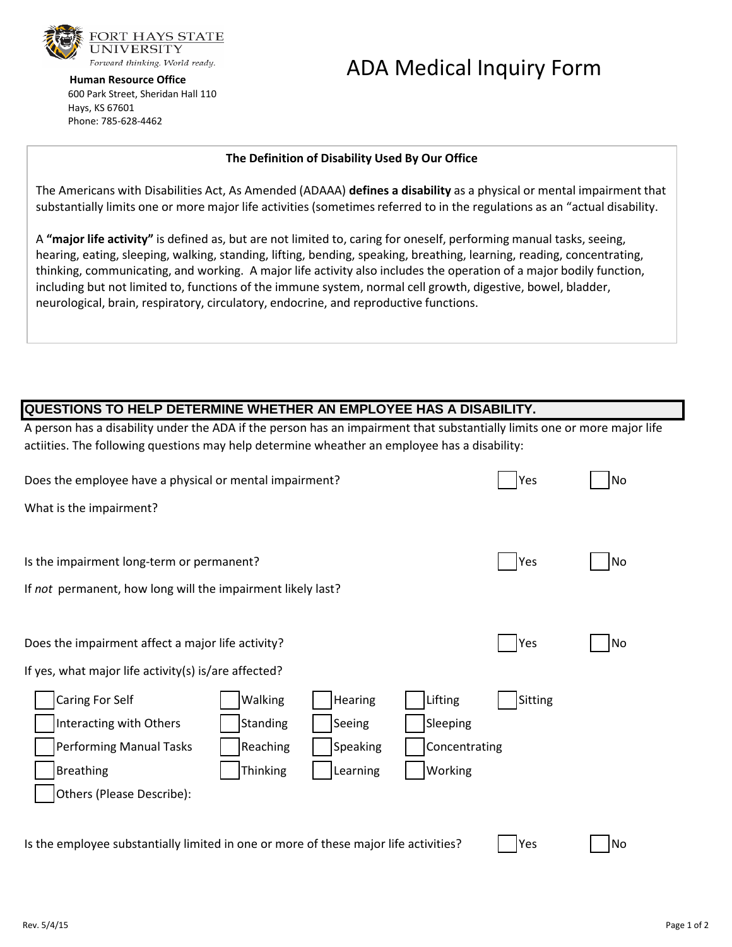

 **Human Resource Office** 600 Park Street, Sheridan Hall 110 Hays, KS 67601 Phone: 785-628-4462

# ADA Medical Inquiry Form

#### **The Definition of Disability Used By Our Office**

The Americans with Disabilities Act, As Amended (ADAAA) **defines a disability** as a physical or mental impairment that substantially limits one or more major life activities (sometimes referred to in the regulations as an "actual disability.

A **"major life activity"** is defined as, but are not limited to, caring for oneself, performing manual tasks, seeing, hearing, eating, sleeping, walking, standing, lifting, bending, speaking, breathing, learning, reading, concentrating, thinking, communicating, and working. A major life activity also includes the operation of a major bodily function, including but not limited to, functions of the immune system, normal cell growth, digestive, bowel, bladder, neurological, brain, respiratory, circulatory, endocrine, and reproductive functions.

# **QUESTIONS TO HELP DETERMINE WHETHER AN EMPLOYEE HAS A DISABILITY.**

A person has a disability under the ADA if the person has an impairment that substantially limits one or more major life actiities. The following questions may help determine wheather an employee has a disability:

| Does the employee have a physical or mental impairment?                                     |                 |          |               | Yes     | <b>No</b> |
|---------------------------------------------------------------------------------------------|-----------------|----------|---------------|---------|-----------|
| What is the impairment?                                                                     |                 |          |               |         |           |
|                                                                                             |                 |          |               |         |           |
| Is the impairment long-term or permanent?                                                   |                 |          |               | Yes     | <b>No</b> |
| If not permanent, how long will the impairment likely last?                                 |                 |          |               |         |           |
|                                                                                             |                 |          |               |         |           |
| Does the impairment affect a major life activity?                                           |                 |          |               | Yes     | <b>No</b> |
| If yes, what major life activity(s) is/are affected?                                        |                 |          |               |         |           |
| Caring For Self                                                                             | Walking         | Hearing  | Lifting       | Sitting |           |
| Interacting with Others                                                                     | Standing        | Seeing   | Sleeping      |         |           |
| <b>Performing Manual Tasks</b>                                                              | Reaching        | Speaking | Concentrating |         |           |
| <b>Breathing</b>                                                                            | <b>Thinking</b> | Learning | Working       |         |           |
| Others (Please Describe):                                                                   |                 |          |               |         |           |
|                                                                                             |                 |          |               |         |           |
| Is the employee substantially limited in one or more of these major life activities?<br>Yes |                 |          |               |         | <b>No</b> |